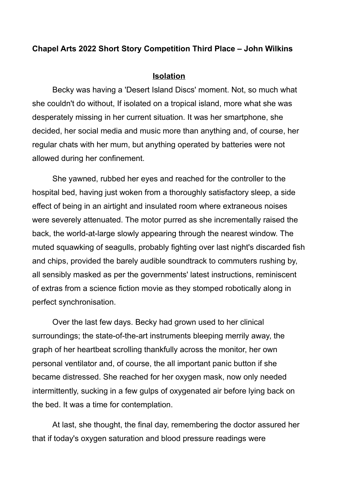## **Chapel Arts 2022 Short Story Competition Third Place – John Wilkins**

## **Isolation**

Becky was having a 'Desert Island Discs' moment. Not, so much what she couldn't do without, If isolated on a tropical island, more what she was desperately missing in her current situation. It was her smartphone, she decided, her social media and music more than anything and, of course, her regular chats with her mum, but anything operated by batteries were not allowed during her confinement.

She yawned, rubbed her eyes and reached for the controller to the hospital bed, having just woken from a thoroughly satisfactory sleep, a side effect of being in an airtight and insulated room where extraneous noises were severely attenuated. The motor purred as she incrementally raised the back, the world-at-large slowly appearing through the nearest window. The muted squawking of seagulls, probably fighting over last night's discarded fish and chips, provided the barely audible soundtrack to commuters rushing by, all sensibly masked as per the governments' latest instructions, reminiscent of extras from a science fiction movie as they stomped robotically along in perfect synchronisation.

Over the last few days. Becky had grown used to her clinical surroundings; the state-of-the-art instruments bleeping merrily away, the graph of her heartbeat scrolling thankfully across the monitor, her own personal ventilator and, of course, the all important panic button if she became distressed. She reached for her oxygen mask, now only needed intermittently, sucking in a few gulps of oxygenated air before lying back on the bed. It was a time for contemplation.

At last, she thought, the final day, remembering the doctor assured her that if today's oxygen saturation and blood pressure readings were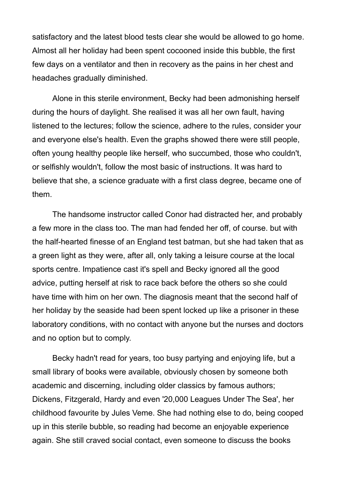satisfactory and the latest blood tests clear she would be allowed to go home. Almost all her holiday had been spent cocooned inside this bubble, the first few days on a ventilator and then in recovery as the pains in her chest and headaches gradually diminished.

Alone in this sterile environment, Becky had been admonishing herself during the hours of daylight. She realised it was all her own fault, having listened to the lectures; follow the science, adhere to the rules, consider your and everyone else's health. Even the graphs showed there were still people, often young healthy people like herself, who succumbed, those who couldn't, or selfishly wouldn't, follow the most basic of instructions. It was hard to believe that she, a science graduate with a first class degree, became one of them.

The handsome instructor called Conor had distracted her, and probably a few more in the class too. The man had fended her off, of course. but with the half-hearted finesse of an England test batman, but she had taken that as a green light as they were, after all, only taking a leisure course at the local sports centre. Impatience cast it's spell and Becky ignored all the good advice, putting herself at risk to race back before the others so she could have time with him on her own. The diagnosis meant that the second half of her holiday by the seaside had been spent locked up like a prisoner in these laboratory conditions, with no contact with anyone but the nurses and doctors and no option but to comply.

Becky hadn't read for years, too busy partying and enjoying life, but a small library of books were available, obviously chosen by someone both academic and discerning, including older classics by famous authors; Dickens, Fitzgerald, Hardy and even '20,000 Leagues Under The Sea', her childhood favourite by Jules Veme. She had nothing else to do, being cooped up in this sterile bubble, so reading had become an enjoyable experience again. She still craved social contact, even someone to discuss the books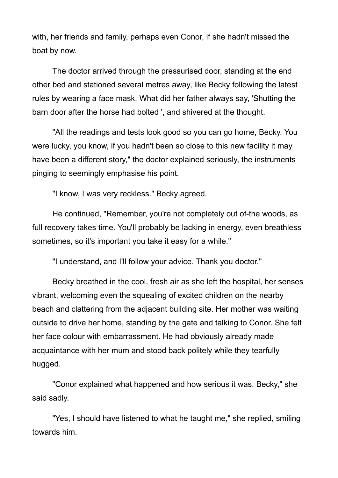with, her friends and family, perhaps even Conor, if she hadn't missed the boat by now.

The doctor arrived through the pressurised door, standing at the end other bed and stationed several metres away, like Becky following the latest rules by wearing a face mask. What did her father always say, 'Shutting the barn door after the horse had bolted ', and shivered at the thought.

"All the readings and tests look good so you can go home, Becky. You were lucky, you know, if you hadn't been so close to this new facility it may have been a different story," the doctor explained seriously, the instruments pinging to seemingly emphasise his point.

"I know, I was very reckless." Becky agreed.

He continued, "Remember, you're not completely out of-the woods, as full recovery takes time. You'll probably be lacking in energy, even breathless sometimes, so it's important you take it easy for a while."

"I understand, and I'll follow your advice. Thank you doctor."

Becky breathed in the cool, fresh air as she left the hospital, her senses vibrant, welcoming even the squealing of excited children on the nearby beach and clattering from the adjacent building site. Her mother was waiting outside to drive her home, standing by the gate and talking to Conor. She felt her face colour with embarrassment. He had obviously already made acquaintance with her mum and stood back politely while they tearfully hugged.

"Conor explained what happened and how serious it was, Becky," she said sadly.

"Yes, I should have listened to what he taught me," she replied, smiling towards him.